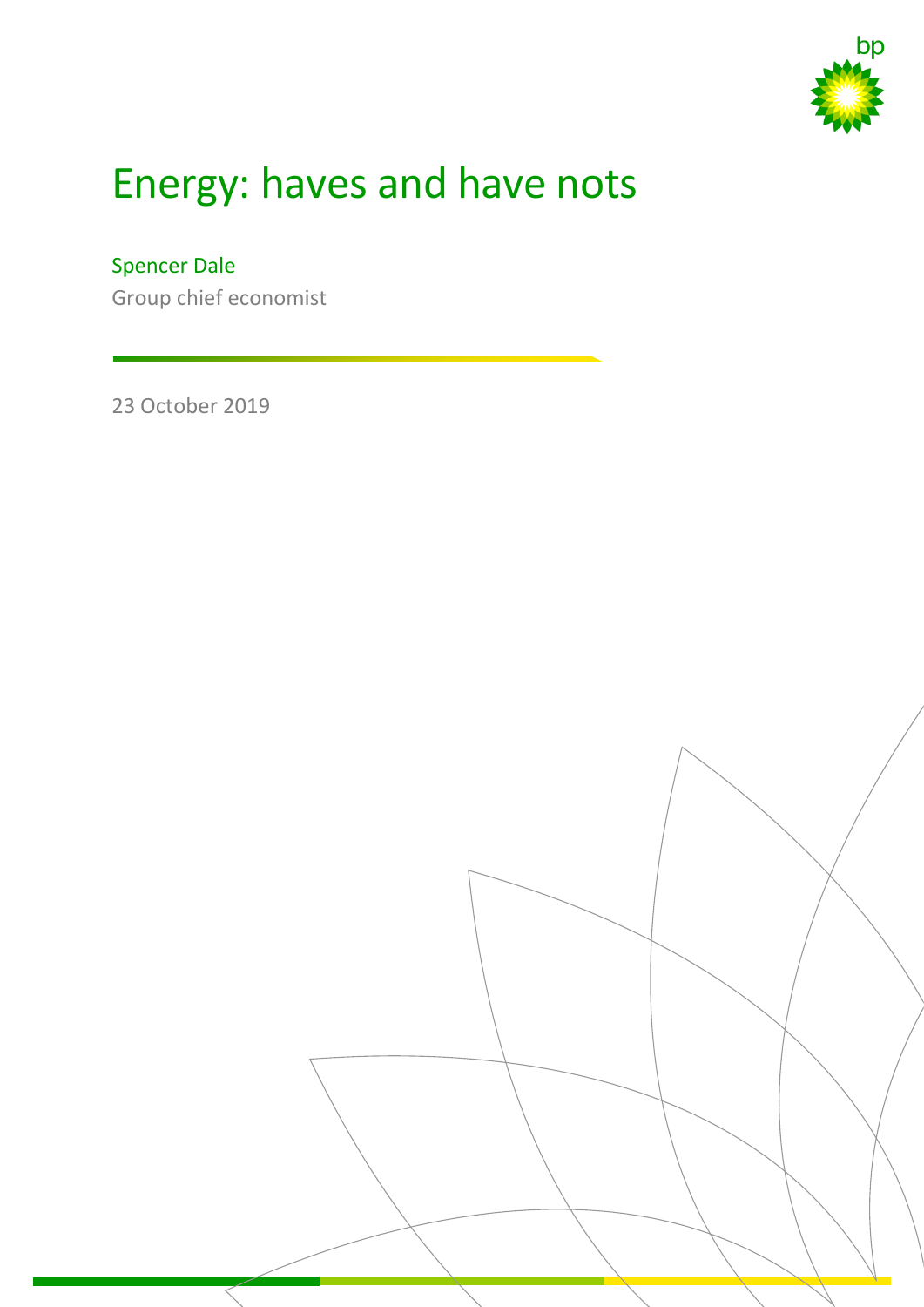

## Energy: haves and have nots

Spencer Dale

Group chief economist

23 October 2019

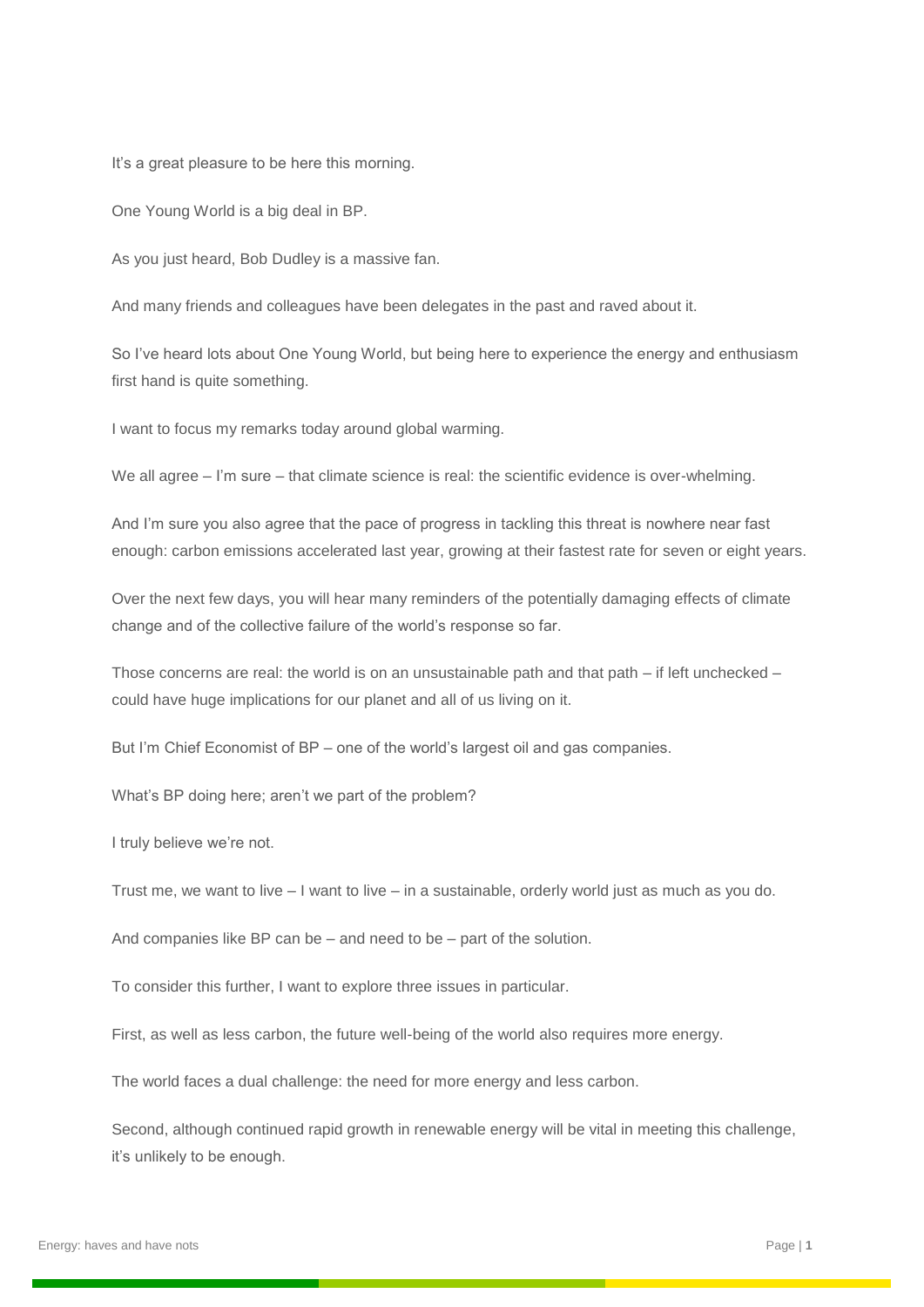It's a great pleasure to be here this morning.

One Young World is a big deal in BP.

As you just heard, Bob Dudley is a massive fan.

And many friends and colleagues have been delegates in the past and raved about it.

So I've heard lots about One Young World, but being here to experience the energy and enthusiasm first hand is quite something.

I want to focus my remarks today around global warming.

We all agree – I'm sure – that climate science is real: the scientific evidence is over-whelming.

And I'm sure you also agree that the pace of progress in tackling this threat is nowhere near fast enough: carbon emissions accelerated last year, growing at their fastest rate for seven or eight years.

Over the next few days, you will hear many reminders of the potentially damaging effects of climate change and of the collective failure of the world's response so far.

Those concerns are real: the world is on an unsustainable path and that path  $-$  if left unchecked  $$ could have huge implications for our planet and all of us living on it.

But I'm Chief Economist of BP – one of the world's largest oil and gas companies.

What's BP doing here; aren't we part of the problem?

I truly believe we're not.

Trust me, we want to live – I want to live – in a sustainable, orderly world just as much as you do.

And companies like BP can be – and need to be – part of the solution.

To consider this further, I want to explore three issues in particular.

First, as well as less carbon, the future well-being of the world also requires more energy.

The world faces a dual challenge: the need for more energy and less carbon.

Second, although continued rapid growth in renewable energy will be vital in meeting this challenge, it's unlikely to be enough.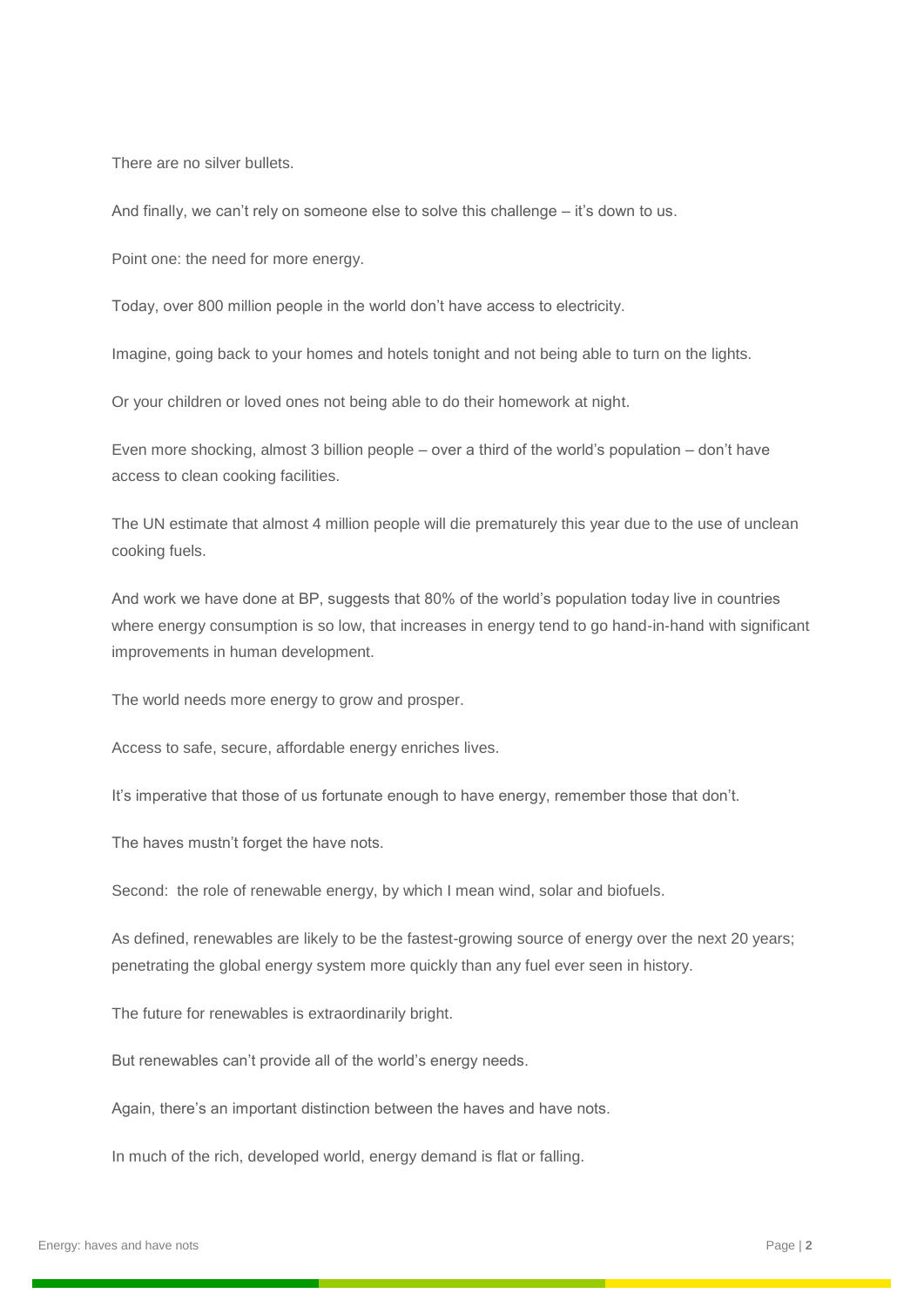There are no silver bullets.

And finally, we can't rely on someone else to solve this challenge – it's down to us.

Point one: the need for more energy.

Today, over 800 million people in the world don't have access to electricity.

Imagine, going back to your homes and hotels tonight and not being able to turn on the lights.

Or your children or loved ones not being able to do their homework at night.

Even more shocking, almost 3 billion people – over a third of the world's population – don't have access to clean cooking facilities.

The UN estimate that almost 4 million people will die prematurely this year due to the use of unclean cooking fuels.

And work we have done at BP, suggests that 80% of the world's population today live in countries where energy consumption is so low, that increases in energy tend to go hand-in-hand with significant improvements in human development.

The world needs more energy to grow and prosper.

Access to safe, secure, affordable energy enriches lives.

It's imperative that those of us fortunate enough to have energy, remember those that don't.

The haves mustn't forget the have nots.

Second: the role of renewable energy, by which I mean wind, solar and biofuels.

As defined, renewables are likely to be the fastest-growing source of energy over the next 20 years; penetrating the global energy system more quickly than any fuel ever seen in history.

The future for renewables is extraordinarily bright.

But renewables can't provide all of the world's energy needs.

Again, there's an important distinction between the haves and have nots.

In much of the rich, developed world, energy demand is flat or falling.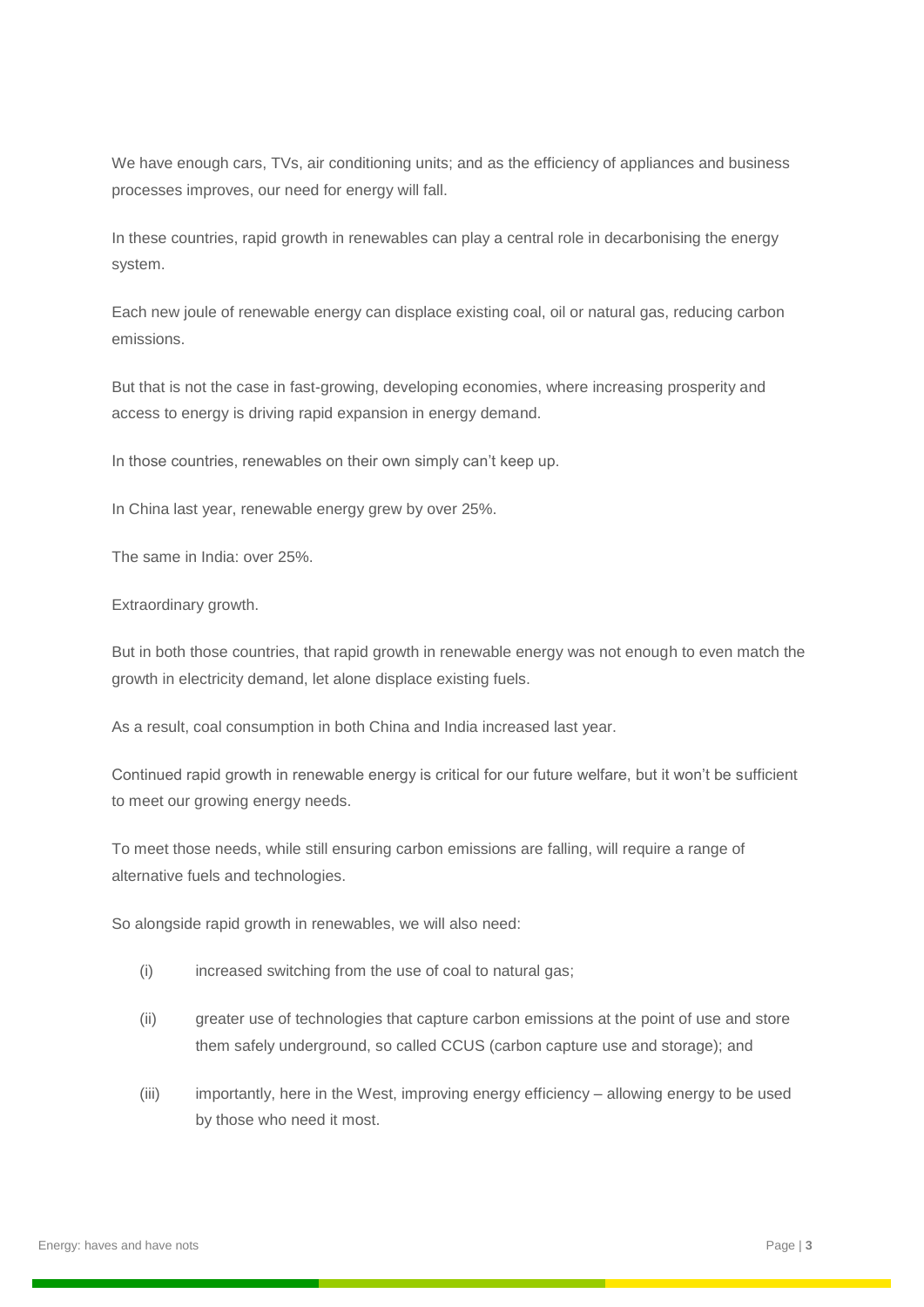We have enough cars, TVs, air conditioning units; and as the efficiency of appliances and business processes improves, our need for energy will fall.

In these countries, rapid growth in renewables can play a central role in decarbonising the energy system.

Each new joule of renewable energy can displace existing coal, oil or natural gas, reducing carbon emissions.

But that is not the case in fast-growing, developing economies, where increasing prosperity and access to energy is driving rapid expansion in energy demand.

In those countries, renewables on their own simply can't keep up.

In China last year, renewable energy grew by over 25%.

The same in India: over 25%.

Extraordinary growth.

But in both those countries, that rapid growth in renewable energy was not enough to even match the growth in electricity demand, let alone displace existing fuels.

As a result, coal consumption in both China and India increased last year.

Continued rapid growth in renewable energy is critical for our future welfare, but it won't be sufficient to meet our growing energy needs.

To meet those needs, while still ensuring carbon emissions are falling, will require a range of alternative fuels and technologies.

So alongside rapid growth in renewables, we will also need:

- (i) increased switching from the use of coal to natural gas;
- (ii) greater use of technologies that capture carbon emissions at the point of use and store them safely underground, so called CCUS (carbon capture use and storage); and
- (iii) importantly, here in the West, improving energy efficiency allowing energy to be used by those who need it most.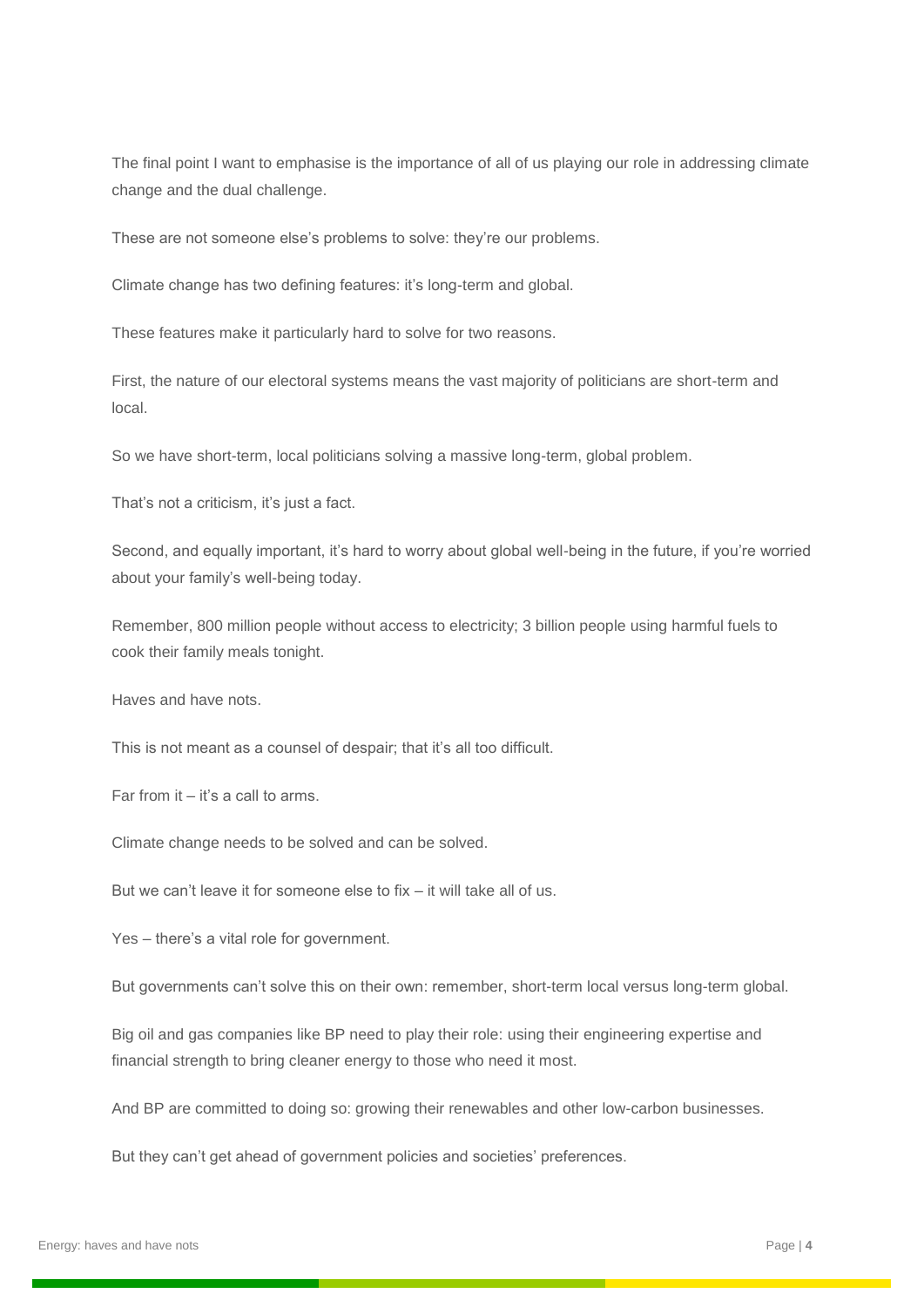The final point I want to emphasise is the importance of all of us playing our role in addressing climate change and the dual challenge.

These are not someone else's problems to solve: they're our problems.

Climate change has two defining features: it's long-term and global.

These features make it particularly hard to solve for two reasons.

First, the nature of our electoral systems means the vast majority of politicians are short-term and local.

So we have short-term, local politicians solving a massive long-term, global problem.

That's not a criticism, it's just a fact.

Second, and equally important, it's hard to worry about global well-being in the future, if you're worried about your family's well-being today.

Remember, 800 million people without access to electricity; 3 billion people using harmful fuels to cook their family meals tonight.

Haves and have nots.

This is not meant as a counsel of despair; that it's all too difficult.

Far from it – it's a call to arms.

Climate change needs to be solved and can be solved.

But we can't leave it for someone else to fix – it will take all of us.

Yes – there's a vital role for government.

But governments can't solve this on their own: remember, short-term local versus long-term global.

Big oil and gas companies like BP need to play their role: using their engineering expertise and financial strength to bring cleaner energy to those who need it most.

And BP are committed to doing so: growing their renewables and other low-carbon businesses.

But they can't get ahead of government policies and societies' preferences.